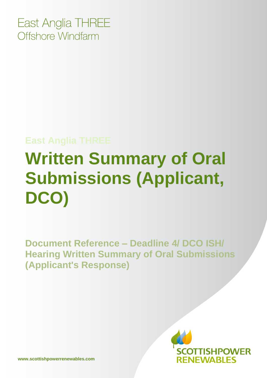East Anglia THREE Offshore Windfarm

## **East Anglia THREE**

## **Written Summary of Oral Submissions (Applicant, DCO)**

**Document Reference – Deadline 4/ DCO ISH/ Hearing Written Summary of Oral Submissions (Applicant's Response)**

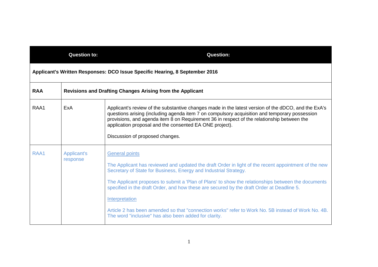| <b>Question to:</b>                                                         |                                                                  | <b>Question:</b>                                                                                                                                                                                                                                                                                                                                              |  |
|-----------------------------------------------------------------------------|------------------------------------------------------------------|---------------------------------------------------------------------------------------------------------------------------------------------------------------------------------------------------------------------------------------------------------------------------------------------------------------------------------------------------------------|--|
| Applicant's Written Responses: DCO Issue Specific Hearing, 8 September 2016 |                                                                  |                                                                                                                                                                                                                                                                                                                                                               |  |
| <b>RAA</b>                                                                  | <b>Revisions and Drafting Changes Arising from the Applicant</b> |                                                                                                                                                                                                                                                                                                                                                               |  |
| RAA1                                                                        | ExA                                                              | Applicant's review of the substantive changes made in the latest version of the dDCO, and the ExA's<br>questions arising (including agenda item 7 on compulsory acquisition and temporary possession<br>provisions, and agenda item 8 on Requirement 36 in respect of the relationship between the<br>application proposal and the consented EA ONE project). |  |
|                                                                             |                                                                  | Discussion of proposed changes.                                                                                                                                                                                                                                                                                                                               |  |
| RAA1                                                                        | Applicant's<br>response                                          | <b>General points</b><br>The Applicant has reviewed and updated the draft Order in light of the recent appointment of the new<br>Secretary of State for Business, Energy and Industrial Strategy.<br>The Applicant proposes to submit a 'Plan of Plans' to show the relationships between the documents                                                       |  |
|                                                                             |                                                                  | specified in the draft Order, and how these are secured by the draft Order at Deadline 5.<br>Interpretation<br>Article 2 has been amended so that "connection works" refer to Work No. 5B instead of Work No. 4B.<br>The word "inclusive" has also been added for clarity.                                                                                    |  |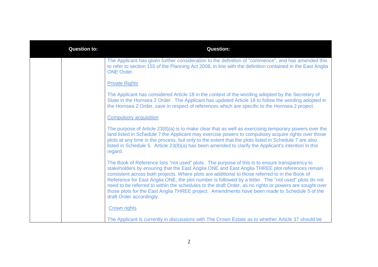| <b>Question to:</b> | <b>Question:</b>                                                                                                                                                                                                                                                                                                                                                                                                                                                                                                                                                                                                                                  |
|---------------------|---------------------------------------------------------------------------------------------------------------------------------------------------------------------------------------------------------------------------------------------------------------------------------------------------------------------------------------------------------------------------------------------------------------------------------------------------------------------------------------------------------------------------------------------------------------------------------------------------------------------------------------------------|
|                     | The Applicant has given further consideration to the definition of "commence", and has amended this<br>to refer to section 155 of the Planning Act 2008, in line with the definition contained in the East Anglia<br><b>ONE Order.</b>                                                                                                                                                                                                                                                                                                                                                                                                            |
|                     | <b>Private Rights</b>                                                                                                                                                                                                                                                                                                                                                                                                                                                                                                                                                                                                                             |
|                     | The Applicant has considered Article 18 in the context of the wording adopted by the Secretary of<br>State in the Hornsea 2 Order. The Applicant has updated Article 18 to follow the wording adopted in<br>the Hornsea 2 Order, save in respect of references which are specific to the Hornsea 2 project.                                                                                                                                                                                                                                                                                                                                       |
|                     | <b>Compulsory acquisition</b>                                                                                                                                                                                                                                                                                                                                                                                                                                                                                                                                                                                                                     |
|                     | The purpose of Article 23(8)(a) is to make clear that as well as exercising temporary powers over the<br>land listed in Schedule 7 the Applicant may exercise powers to compulsory acquire rights over those<br>plots at any time in the process, but only to the extent that the plots listed in Schedule 7 are also<br>listed in Schedule 5. Article 23(8)(a) has been amended to clarify the Applicant's intention in this<br>regard.                                                                                                                                                                                                          |
|                     | The Book of Reference lists "not used" plots. The purpose of this is to ensure transparency to<br>stakeholders by ensuring that the East Anglia ONE and East Anglia THREE plot references remain<br>consistent across both projects. Where plots are additional to those referred to in the Book of<br>Reference for East Anglia ONE, the plot number is followed by a letter. The "not used" plots do not<br>need to be referred to within the schedules to the draft Order, as no rights or powers are sought over<br>those plots for the East Anglia THREE project. Amendments have been made to Schedule 5 of the<br>draft Order accordingly. |
|                     | <b>Crown rights</b>                                                                                                                                                                                                                                                                                                                                                                                                                                                                                                                                                                                                                               |
|                     | The Applicant is currently in discussions with The Crown Estate as to whether Article 37 should be                                                                                                                                                                                                                                                                                                                                                                                                                                                                                                                                                |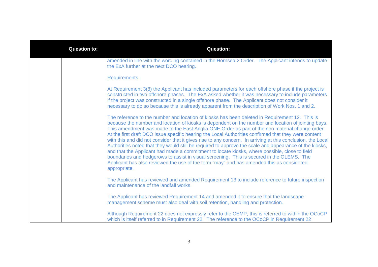| <b>Question to:</b> | <b>Question:</b>                                                                                                                                                                                                                                                                                                                                                                                                                                                                                                                                                                                                                                                                                                                                                                                                                                                                                                                                   |
|---------------------|----------------------------------------------------------------------------------------------------------------------------------------------------------------------------------------------------------------------------------------------------------------------------------------------------------------------------------------------------------------------------------------------------------------------------------------------------------------------------------------------------------------------------------------------------------------------------------------------------------------------------------------------------------------------------------------------------------------------------------------------------------------------------------------------------------------------------------------------------------------------------------------------------------------------------------------------------|
|                     | amended in line with the wording contained in the Hornsea 2 Order. The Applicant intends to update<br>the ExA further at the next DCO hearing.                                                                                                                                                                                                                                                                                                                                                                                                                                                                                                                                                                                                                                                                                                                                                                                                     |
|                     | <b>Requirements</b>                                                                                                                                                                                                                                                                                                                                                                                                                                                                                                                                                                                                                                                                                                                                                                                                                                                                                                                                |
|                     | At Requirement 3(8) the Applicant has included parameters for each offshore phase if the project is<br>constructed in two offshore phases. The ExA asked whether it was necessary to include parameters<br>if the project was constructed in a single offshore phase. The Applicant does not consider it<br>necessary to do so because this is already apparent from the description of Work Nos. 1 and 2.                                                                                                                                                                                                                                                                                                                                                                                                                                                                                                                                         |
|                     | The reference to the number and location of kiosks has been deleted in Requirement 12. This is<br>because the number and location of kiosks is dependent on the number and location of jointing bays.<br>This amendment was made to the East Anglia ONE Order as part of the non material change order.<br>At the first draft DCO issue specific hearing the Local Authorities confirmed that they were content<br>with this and did not consider that it gives rise to any concern. In arriving at this conclusion, the Local<br>Authorities noted that they would still be required to approve the scale and appearance of the kiosks,<br>and that the Applicant had made a commitment to locate kiosks, where possible, close to field<br>boundaries and hedgerows to assist in visual screening. This is secured in the OLEMS. The<br>Applicant has also reviewed the use of the term "may" and has amended this as considered<br>appropriate. |
|                     | The Applicant has reviewed and amended Requirement 13 to include reference to future inspection<br>and maintenance of the landfall works.                                                                                                                                                                                                                                                                                                                                                                                                                                                                                                                                                                                                                                                                                                                                                                                                          |
|                     | The Applicant has reviewed Requirement 14 and amended it to ensure that the landscape<br>management scheme must also deal with soil retention, handling and protection.                                                                                                                                                                                                                                                                                                                                                                                                                                                                                                                                                                                                                                                                                                                                                                            |
|                     | Although Requirement 22 does not expressly refer to the CEMP, this is referred to within the OCoCP<br>which is itself referred to in Requirement 22. The reference to the OCoCP in Requirement 22                                                                                                                                                                                                                                                                                                                                                                                                                                                                                                                                                                                                                                                                                                                                                  |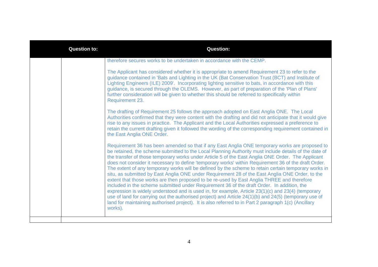| <b>Question to:</b> | <b>Question:</b>                                                                                                                                                                                                                                                                                                                                                                                                                                                                                                                                                                                                                                                                                                                                                                                                                                                                                                                                                                                                                                                                                                                                              |
|---------------------|---------------------------------------------------------------------------------------------------------------------------------------------------------------------------------------------------------------------------------------------------------------------------------------------------------------------------------------------------------------------------------------------------------------------------------------------------------------------------------------------------------------------------------------------------------------------------------------------------------------------------------------------------------------------------------------------------------------------------------------------------------------------------------------------------------------------------------------------------------------------------------------------------------------------------------------------------------------------------------------------------------------------------------------------------------------------------------------------------------------------------------------------------------------|
|                     | therefore secures works to be undertaken in accordance with the CEMP.                                                                                                                                                                                                                                                                                                                                                                                                                                                                                                                                                                                                                                                                                                                                                                                                                                                                                                                                                                                                                                                                                         |
|                     | The Applicant has considered whether it is appropriate to amend Requirement 23 to refer to the<br>guidance contained in 'Bats and Lighting in the UK (Bat Conservation Trust (BCT) and Institute of<br>Lighting Engineers (ILE) 2009'. Incorporating lighting sensitive to bats, in accordance with this<br>guidance, is secured through the OLEMS. However, as part of preparation of the 'Plan of Plans'<br>further consideration will be given to whether this should be referred to specifically within<br>Requirement 23.                                                                                                                                                                                                                                                                                                                                                                                                                                                                                                                                                                                                                                |
|                     | The drafting of Requirement 25 follows the approach adopted on East Anglia ONE. The Local<br>Authorities confirmed that they were content with the drafting and did not anticipate that it would give<br>rise to any issues in practice. The Applicant and the Local Authorities expressed a preference to<br>retain the current drafting given it followed the wording of the corresponding requirement contained in<br>the East Anglia ONE Order.                                                                                                                                                                                                                                                                                                                                                                                                                                                                                                                                                                                                                                                                                                           |
|                     | Requirement 36 has been amended so that if any East Anglia ONE temporary works are proposed to<br>be retained, the scheme submitted to the Local Planning Authority must include details of the date of<br>the transfer of those temporary works under Article 5 of the East Anglia ONE Order. The Applicant<br>does not consider it necessary to define 'temporary works' within Requirement 36 of the draft Order.<br>The extent of any temporary works will be defined by the scheme to retain certain temporary works in<br>situ, as submitted by East Anglia ONE under Requirement 28 of the East Anglia ONE Order, to the<br>extent that those works are then proposed to be re-used by East Anglia THREE and therefore<br>included in the scheme submitted under Requirement 36 of the draft Order. In addition, the<br>expression is widely understood and is used in, for example, Article 23(1)(c) and 23(4) (temporary<br>use of land for carrying out the authorised project) and Article 24(1)(b) and 24(5) (temporary use of<br>land for maintaining authorised project). It is also referred to in Part 2 paragraph 1(c) (Ancillary<br>works). |
|                     |                                                                                                                                                                                                                                                                                                                                                                                                                                                                                                                                                                                                                                                                                                                                                                                                                                                                                                                                                                                                                                                                                                                                                               |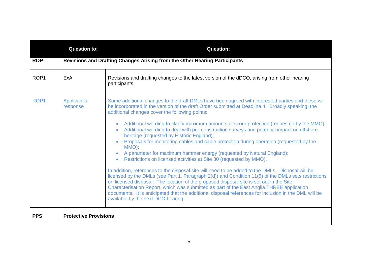|                  | <b>Question to:</b>                                                        | <b>Question:</b>                                                                                                                                                                                                                                                                                                                                                                                                                                                                                                                                                                                                                                                                                                                                                                                                                                                                                                                                                                                                                                                                                                                                                                                                                                                                                                 |  |  |
|------------------|----------------------------------------------------------------------------|------------------------------------------------------------------------------------------------------------------------------------------------------------------------------------------------------------------------------------------------------------------------------------------------------------------------------------------------------------------------------------------------------------------------------------------------------------------------------------------------------------------------------------------------------------------------------------------------------------------------------------------------------------------------------------------------------------------------------------------------------------------------------------------------------------------------------------------------------------------------------------------------------------------------------------------------------------------------------------------------------------------------------------------------------------------------------------------------------------------------------------------------------------------------------------------------------------------------------------------------------------------------------------------------------------------|--|--|
| <b>ROP</b>       | Revisions and Drafting Changes Arising from the Other Hearing Participants |                                                                                                                                                                                                                                                                                                                                                                                                                                                                                                                                                                                                                                                                                                                                                                                                                                                                                                                                                                                                                                                                                                                                                                                                                                                                                                                  |  |  |
| ROP <sub>1</sub> | ExA                                                                        | Revisions and drafting changes to the latest version of the dDCO, arising from other hearing<br>participants.                                                                                                                                                                                                                                                                                                                                                                                                                                                                                                                                                                                                                                                                                                                                                                                                                                                                                                                                                                                                                                                                                                                                                                                                    |  |  |
| ROP <sub>1</sub> | Applicant's<br>response                                                    | Some additional changes to the draft DMLs have been agreed with interested parties and these will<br>be incorporated in the version of the draft Order submitted at Deadline 4. Broadly speaking, the<br>additional changes cover the following points:<br>Additional wording to clarify maximum amounts of scour protection (requested by the MMO);<br>Additional wording to deal with pre-construction surveys and potential impact on offshore<br>$\bullet$<br>heritage (requested by Historic England);<br>Proposals for monitoring cables and cable protection during operation (requested by the<br>MMO);<br>A parameter for maximum hammer energy (requested by Natural England);<br>Restrictions on licensed activities at Site 30 (requested by MMO).<br>In addition, references to the disposal site will need to be added to the DMLs. Disposal will be<br>licensed by the DMLs (see Part 1, Paragraph 2(d)) and Condition 11(5) of the DMLs sets restrictions<br>on licensed disposal. The location of the proposed disposal site is set out in the Site<br>Characterisation Report, which was submitted as part of the East Anglia THREE application<br>documents. It is anticipated that the additional disposal references for inclusion in the DML will be<br>available by the next DCO hearing. |  |  |
| <b>PPS</b>       | <b>Protective Provisions</b>                                               |                                                                                                                                                                                                                                                                                                                                                                                                                                                                                                                                                                                                                                                                                                                                                                                                                                                                                                                                                                                                                                                                                                                                                                                                                                                                                                                  |  |  |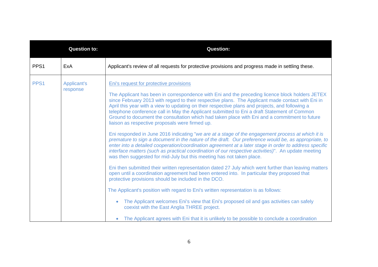|                  | <b>Question to:</b>            | <b>Question:</b>                                                                                                                                                                                                                                                                                                                                                                                                                                                                                                                                                                                                                                                                                                                                                                                                                                                                                                                                                                                                                                                                                                                                                                                                                                                                                                                                                                                                                                                                                                                                                                                                                                                                                             |
|------------------|--------------------------------|--------------------------------------------------------------------------------------------------------------------------------------------------------------------------------------------------------------------------------------------------------------------------------------------------------------------------------------------------------------------------------------------------------------------------------------------------------------------------------------------------------------------------------------------------------------------------------------------------------------------------------------------------------------------------------------------------------------------------------------------------------------------------------------------------------------------------------------------------------------------------------------------------------------------------------------------------------------------------------------------------------------------------------------------------------------------------------------------------------------------------------------------------------------------------------------------------------------------------------------------------------------------------------------------------------------------------------------------------------------------------------------------------------------------------------------------------------------------------------------------------------------------------------------------------------------------------------------------------------------------------------------------------------------------------------------------------------------|
| PPS <sub>1</sub> | ExA                            | Applicant's review of all requests for protective provisions and progress made in settling these.                                                                                                                                                                                                                                                                                                                                                                                                                                                                                                                                                                                                                                                                                                                                                                                                                                                                                                                                                                                                                                                                                                                                                                                                                                                                                                                                                                                                                                                                                                                                                                                                            |
| PPS <sub>1</sub> | <b>Applicant's</b><br>response | Eni's request for protective provisions<br>The Applicant has been in correspondence with Eni and the preceding licence block holders JETEX<br>since February 2013 with regard to their respective plans. The Applicant made contact with Eni in<br>April this year with a view to updating on their respective plans and projects, and following a<br>telephone conference call in May the Applicant submitted to Eni a draft Statement of Common<br>Ground to document the consultation which had taken place with Eni and a commitment to future<br>liaison as respective proposals were firmed up.<br>Eni responded in June 2016 indicating "we are at a stage of the engagement process at which it is<br>premature to sign a document in the nature of the draft. Our preference would be, as appropriate, to<br>enter into a detailed cooperation/coordination agreement at a later stage in order to address specific<br>interface matters (such as practical coordination of our respective activities)". An update meeting<br>was then suggested for mid-July but this meeting has not taken place.<br>Eni then submitted their written representation dated 27 July which went further than leaving matters<br>open until a coordination agreement had been entered into. In particular they proposed that<br>protective provisions should be included in the DCO.<br>The Applicant's position with regard to Eni's written representation is as follows:<br>The Applicant welcomes Eni's view that Eni's proposed oil and gas activities can safely<br>coexist with the East Anglia THREE project.<br>The Applicant agrees with Eni that it is unlikely to be possible to conclude a coordination |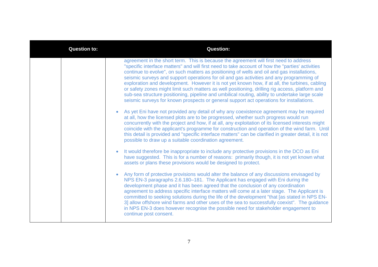| <b>Question to:</b> | <b>Question:</b>                                                                                                                                                                                                                                                                                                                                                                                                                                                                                                                                                                                                                                                                                                                                                                         |
|---------------------|------------------------------------------------------------------------------------------------------------------------------------------------------------------------------------------------------------------------------------------------------------------------------------------------------------------------------------------------------------------------------------------------------------------------------------------------------------------------------------------------------------------------------------------------------------------------------------------------------------------------------------------------------------------------------------------------------------------------------------------------------------------------------------------|
|                     | agreement in the short term. This is because the agreement will first need to address<br>"specific interface matters" and will first need to take account of how the "parties' activities<br>continue to evolve", on such matters as positioning of wells and oil and gas installations,<br>seismic surveys and support operations for oil and gas activities and any programming of<br>exploration and development. However it is not yet known how, if at all, the turbines, cabling<br>or safety zones might limit such matters as well positioning, drilling rig access, platform and<br>sub-sea structure positioning, pipeline and umbilical routing, ability to undertake large scale<br>seismic surveys for known prospects or general support act operations for installations. |
|                     | As yet Eni have not provided any detail of why any coexistence agreement may be required<br>$\bullet$<br>at all, how the licensed plots are to be progressed, whether such progress would run<br>concurrently with the project and how, if at all, any exploitation of its licensed interests might<br>coincide with the applicant's programme for construction and operation of the wind farm. Until<br>this detail is provided and "specific interface matters" can be clarified in greater detail, it is not<br>possible to draw up a suitable coordination agreement.                                                                                                                                                                                                                |
|                     | It would therefore be inappropriate to include any protective provisions in the DCO as Eni<br>have suggested. This is for a number of reasons: primarily though, it is not yet known what<br>assets or plans these provisions would be designed to protect.                                                                                                                                                                                                                                                                                                                                                                                                                                                                                                                              |
|                     | Any form of protective provisions would alter the balance of any discussions envisaged by<br>$\bullet$<br>NPS EN-3 paragraphs 2.6.180-181. The Applicant has engaged with Eni during the<br>development phase and it has been agreed that the conclusion of any coordination<br>agreement to address specific interface matters will come at a later stage. The Applicant is<br>committed to seeking solutions during the life of the development "that [as stated in NPS EN-<br>3] allow offshore wind farms and other uses of the sea to successfully coexist". The guidance<br>in NPS EN-3 does however recognise the possible need for stakeholder engagement to<br>continue post consent.                                                                                           |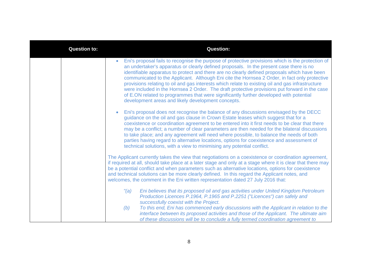| <b>Question to:</b> | <b>Question:</b>                                                                                                                                                                                                                                                                                                                                                                                                                                                                                                                                                                                                                                                                                                                                                |
|---------------------|-----------------------------------------------------------------------------------------------------------------------------------------------------------------------------------------------------------------------------------------------------------------------------------------------------------------------------------------------------------------------------------------------------------------------------------------------------------------------------------------------------------------------------------------------------------------------------------------------------------------------------------------------------------------------------------------------------------------------------------------------------------------|
|                     | Eni's proposal fails to recognise the purpose of protective provisions which is the protection of<br>$\bullet$<br>an undertaker's apparatus or clearly defined proposals. In the present case there is no<br>identifiable apparatus to protect and there are no clearly defined proposals which have been<br>communicated to the Applicant. Although Eni cite the Hornsea 2 Order, in fact only protective<br>provisions relating to oil and gas interests which relate to existing oil and gas infrastructure<br>were included in the Hornsea 2 Order. The draft protective provisions put forward in the case<br>of E.ON related to programmes that were significantly further developed with potential<br>development areas and likely development concepts. |
|                     | Eni's proposal does not recognise the balance of any discussions envisaged by the DECC<br>$\bullet$<br>guidance on the oil and gas clause in Crown Estate leases which suggest that for a<br>coexistence or coordination agreement to be entered into it first needs to be clear that there<br>may be a conflict; a number of clear parameters are then needed for the bilateral discussions<br>to take place; and any agreement will need where possible, to balance the needs of both<br>parties having regard to alternative locations, options for coexistence and assessment of<br>technical solutions, with a view to minimising any potential conflict.                                                                                                  |
|                     | The Applicant currently takes the view that negotiations on a coexistence or coordination agreement,<br>if required at all, should take place at a later stage and only at a stage where it is clear that there may<br>be a potential conflict and when parameters such as alternative locations, options for coexistence<br>and technical solutions can be more clearly defined. In this regard the Applicant notes, and<br>welcomes, the comment in the Eni written representation dated 27 July 2016 that:                                                                                                                                                                                                                                                   |
|                     | Eni believes that its proposed oil and gas activities under United Kingdom Petroleum<br>"(a)<br>Production Licences P.1964, P.1965 and P.2251 ("Licences") can safely and<br>successfully coexist with the Project.<br>To this end, Eni has commenced early discussions with the Applicant in relation to the<br>(b)<br>interface between its proposed activities and those of the Applicant. The ultimate aim<br>of these discussions will be to conclude a fully termed coordination agreement to                                                                                                                                                                                                                                                             |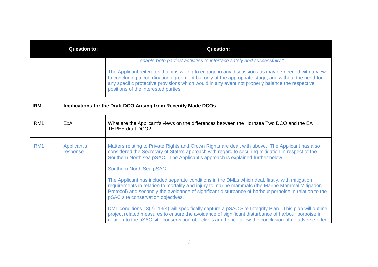| <b>Question to:</b> |                                | <b>Question:</b>                                                                                                                                                                                                                                                                                                                                       |
|---------------------|--------------------------------|--------------------------------------------------------------------------------------------------------------------------------------------------------------------------------------------------------------------------------------------------------------------------------------------------------------------------------------------------------|
|                     |                                | enable both parties' activities to interface safely and successfully."                                                                                                                                                                                                                                                                                 |
|                     |                                | The Applicant reiterates that it is willing to engage in any discussions as may be needed with a view<br>to concluding a coordination agreement but only at the appropriate stage, and without the need for<br>any specific protective provisions which would in any event not properly balance the respective<br>positions of the interested parties. |
| <b>IRM</b>          |                                | Implications for the Draft DCO Arising from Recently Made DCOs                                                                                                                                                                                                                                                                                         |
| IRM1                | ExA                            | What are the Applicant's views on the differences between the Hornsea Two DCO and the EA<br>THREE draft DCO?                                                                                                                                                                                                                                           |
| IRM1                | <b>Applicant's</b><br>response | Matters relating to Private Rights and Crown Rights are dealt with above. The Applicant has also<br>considered the Secretary of State's approach with regard to securing mitigation in respect of the<br>Southern North sea pSAC. The Applicant's approach is explained further below.<br><b>Southern North Sea pSAC</b>                               |
|                     |                                | The Applicant has included separate conditions in the DMLs which deal, firstly, with mitigation<br>requirements in relation to mortality and injury to marine mammals (the Marine Mammal Mitigation<br>Protocol) and secondly the avoidance of significant disturbance of harbour porpoise in relation to the<br>pSAC site conservation objectives.    |
|                     |                                | DML conditions 13(2)-13(4) will specifically capture a pSAC Site Integrity Plan. This plan will outline<br>project related measures to ensure the avoidance of significant disturbance of harbour porpoise in<br>relation to the pSAC site conservation objectives and hence allow the conclusion of no adverse effect                                 |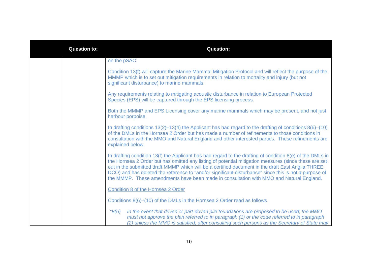| <b>Question to:</b> | <b>Question:</b>                                                                                                                                                                                                                                                                                                                                                                                                                                                                                                              |
|---------------------|-------------------------------------------------------------------------------------------------------------------------------------------------------------------------------------------------------------------------------------------------------------------------------------------------------------------------------------------------------------------------------------------------------------------------------------------------------------------------------------------------------------------------------|
|                     | on the pSAC.                                                                                                                                                                                                                                                                                                                                                                                                                                                                                                                  |
|                     | Condition 13(f) will capture the Marine Mammal Mitigation Protocol and will reflect the purpose of the<br>MMMP which is to set out mitigation requirements in relation to mortality and injury (but not<br>significant disturbance) to marine mammals.                                                                                                                                                                                                                                                                        |
|                     | Any requirements relating to mitigating acoustic disturbance in relation to European Protected<br>Species (EPS) will be captured through the EPS licensing process.                                                                                                                                                                                                                                                                                                                                                           |
|                     | Both the MMMP and EPS Licensing cover any marine mammals which may be present, and not just<br>harbour porpoise.                                                                                                                                                                                                                                                                                                                                                                                                              |
|                     | In drafting conditions $13(2)$ –13(4) the Applicant has had regard to the drafting of conditions $8(6)$ –(10)<br>of the DMLs in the Hornsea 2 Order but has made a number of refinements to those conditions in<br>consultation with the MMO and Natural England and other interested parties. These refinements are<br>explained below.                                                                                                                                                                                      |
|                     | In drafting condition 13(f) the Applicant has had regard to the drafting of condition $8(e)$ of the DMLs in<br>the Hornsea 2 Order but has omitted any listing of potential mitigation measures (since these are set<br>out in the submitted draft MMMP which will be a certified document in the draft East Anglia THREE<br>DCO) and has deleted the reference to "and/or significant disturbance" since this is not a purpose of<br>the MMMP. These amendments have been made in consultation with MMO and Natural England. |
|                     | Condition 8 of the Hornsea 2 Order                                                                                                                                                                                                                                                                                                                                                                                                                                                                                            |
|                     | Conditions 8(6)–(10) of the DMLs in the Hornsea 2 Order read as follows                                                                                                                                                                                                                                                                                                                                                                                                                                                       |
|                     | "8(6)<br>In the event that driven or part-driven pile foundations are proposed to be used, the MMO<br>must not approve the plan referred to in paragraph (1) or the code referred to in paragraph<br>(2) unless the MMO is satisfied, after consulting such persons as the Secretary of State may                                                                                                                                                                                                                             |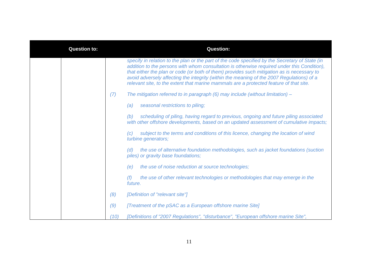| <b>Question to:</b> |      | <b>Question:</b>                                                                                                                                                                                                                                                                                                                                                                                                                                                                    |
|---------------------|------|-------------------------------------------------------------------------------------------------------------------------------------------------------------------------------------------------------------------------------------------------------------------------------------------------------------------------------------------------------------------------------------------------------------------------------------------------------------------------------------|
|                     |      | specify in relation to the plan or the part of the code specified by the Secretary of State (in<br>addition to the persons with whom consultation is otherwise required under this Condition),<br>that either the plan or code (or both of them) provides such mitigation as is necessary to<br>avoid adversely affecting the integrity (within the meaning of the 2007 Regulations) of a<br>relevant site, to the extent that marine mammals are a protected feature of that site. |
|                     | (7)  | The mitigation referred to in paragraph $(6)$ may include (without limitation) –                                                                                                                                                                                                                                                                                                                                                                                                    |
|                     |      | seasonal restrictions to piling;<br>(a)                                                                                                                                                                                                                                                                                                                                                                                                                                             |
|                     |      | scheduling of piling, having regard to previous, ongoing and future piling associated<br>(b)<br>with other offshore developments, based on an updated assessment of cumulative impacts;                                                                                                                                                                                                                                                                                             |
|                     |      | subject to the terms and conditions of this licence, changing the location of wind<br>(c)<br>turbine generators;                                                                                                                                                                                                                                                                                                                                                                    |
|                     |      | the use of alternative foundation methodologies, such as jacket foundations (suction<br>(d)<br>piles) or gravity base foundations;                                                                                                                                                                                                                                                                                                                                                  |
|                     |      | the use of noise reduction at source technologies;<br>(e)                                                                                                                                                                                                                                                                                                                                                                                                                           |
|                     |      | the use of other relevant technologies or methodologies that may emerge in the<br>(f)<br>future.                                                                                                                                                                                                                                                                                                                                                                                    |
|                     | (8)  | [Definition of "relevant site"]                                                                                                                                                                                                                                                                                                                                                                                                                                                     |
|                     | (9)  | [Treatment of the pSAC as a European offshore marine Site]                                                                                                                                                                                                                                                                                                                                                                                                                          |
|                     | (10) | [Definitions of "2007 Regulations", "disturbance", "European offshore marine Site",                                                                                                                                                                                                                                                                                                                                                                                                 |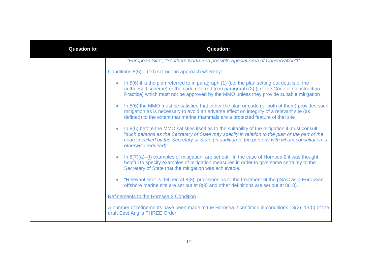| <b>Question to:</b> | <b>Question:</b>                                                                                                                                                                                                                                                                                                                         |
|---------------------|------------------------------------------------------------------------------------------------------------------------------------------------------------------------------------------------------------------------------------------------------------------------------------------------------------------------------------------|
|                     | "European Site", "Southern North Sea possible Special Area of Conservation"]"                                                                                                                                                                                                                                                            |
|                     | Conditions $8(6) - (10)$ set out an approach whereby:                                                                                                                                                                                                                                                                                    |
|                     | In 8(6) it is the plan referred to in paragraph (1) (i.e. the plan setting out details of the<br>$\bullet$<br>authorised scheme) or the code referred to in paragraph (2) (i.e. the Code of Construction<br>Practice) which must not be approved by the MMO unless they provide suitable mitigation                                      |
|                     | In 8(6) the MMO must be satisfied that either the plan or code (or both of them) provides such<br>$\bullet$<br>mitigation as is necessary to avoid an adverse effect on integrity of a relevant site (as<br>defined) to the extent that marine mammals are a protected feature of that site                                              |
|                     | In 8(6) before the MMO satisfies itself as to the suitability of the mitigation it must consult<br>$\bullet$<br>"such persons as the Secretary of State may specify in relation to the plan or the part of the<br>code specified by the Secretary of State (in addition to the persons with whom consultation is<br>otherwise required)" |
|                     | In 8(7)(a)–(f) examples of mitigation are set out. In the case of Hornsea 2 it was thought<br>$\bullet$<br>helpful to specify examples of mitigation measures in order to give some certainty to the<br>Secretary of State that the mitigation was achievable.                                                                           |
|                     | "Relevant site" is defined at 8(8), provisions as to the treatment of the pSAC as a European<br>$\bullet$<br>offshore marine site are set out at 8(9) and other definitions are set out at 8(10).                                                                                                                                        |
|                     | Refinements to the Hornsea 2 Condition                                                                                                                                                                                                                                                                                                   |
|                     | A number of refinements have been made to the Hornsea 2 condition in conditions 13(2)-13(5) of the<br>draft East Anglia THREE Order.                                                                                                                                                                                                     |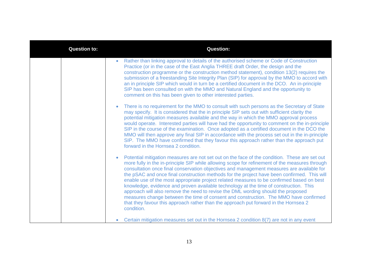| <b>Question to:</b> | <b>Question:</b>                                                                                                                                                                                                                                                                                                                                                                                                                                                                                                                                                                                                                                                                                                                                                                                                                                                                 |
|---------------------|----------------------------------------------------------------------------------------------------------------------------------------------------------------------------------------------------------------------------------------------------------------------------------------------------------------------------------------------------------------------------------------------------------------------------------------------------------------------------------------------------------------------------------------------------------------------------------------------------------------------------------------------------------------------------------------------------------------------------------------------------------------------------------------------------------------------------------------------------------------------------------|
|                     | Rather than linking approval to details of the authorised scheme or Code of Construction<br>$\bullet$<br>Practice (or in the case of the East Anglia THREE draft Order, the design and the<br>construction programme or the construction method statement), condition 13(2) requires the<br>submission of a freestanding Site Integrity Plan (SIP) for approval by the MMO to accord with<br>an in principle SIP which would in turn be a certified document in the DCO. An in-principle<br>SIP has been consulted on with the MMO and Natural England and the opportunity to<br>comment on this has been given to other interested parties.                                                                                                                                                                                                                                     |
|                     | There is no requirement for the MMO to consult with such persons as the Secretary of State<br>$\bullet$<br>may specify. It is considered that the in principle SIP sets out with sufficient clarity the<br>potential mitigation measures available and the way in which the MMO approval process<br>would operate. Interested parties will have had the opportunity to comment on the in-principle<br>SIP in the course of the examination. Once adopted as a certified document in the DCO the<br>MMO will then approve any final SIP in accordance with the process set out in the in-principle<br>SIP. The MMO have confirmed that they favour this approach rather than the approach put<br>forward in the Hornsea 2 condition.                                                                                                                                              |
|                     | Potential mitigation measures are not set out on the face of the condition. These are set out<br>$\bullet$<br>more fully in the in-principle SIP while allowing scope for refinement of the measures through<br>consultation once final conservation objectives and management measures are available for<br>the pSAC and once final construction methods for the project have been confirmed. This will<br>enable use of the most appropriate project related measures to be confirmed based on best<br>knowledge, evidence and proven available technology at the time of construction. This<br>approach will also remove the need to revise the DML wording should the proposed<br>measures change between the time of consent and construction. The MMO have confirmed<br>that they favour this approach rather than the approach put forward in the Hornsea 2<br>condition. |
|                     | Certain mitigation measures set out in the Hornsea 2 condition 8(7) are not in any event<br>$\bullet$                                                                                                                                                                                                                                                                                                                                                                                                                                                                                                                                                                                                                                                                                                                                                                            |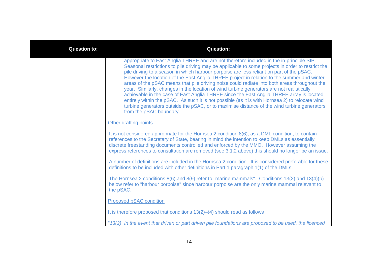| <b>Question to:</b> | <b>Question:</b>                                                                                                                                                                                                                                                                                                                                                                                                                                                                                                                                                                                                                                                                                                                                                                                                                                                                                              |
|---------------------|---------------------------------------------------------------------------------------------------------------------------------------------------------------------------------------------------------------------------------------------------------------------------------------------------------------------------------------------------------------------------------------------------------------------------------------------------------------------------------------------------------------------------------------------------------------------------------------------------------------------------------------------------------------------------------------------------------------------------------------------------------------------------------------------------------------------------------------------------------------------------------------------------------------|
|                     | appropriate to East Anglia THREE and are not therefore included in the in-principle SIP.<br>Seasonal restrictions to pile driving may be applicable to some projects in order to restrict the<br>pile driving to a season in which harbour porpoise are less reliant on part of the pSAC.<br>However the location of the East Anglia THREE project in relation to the summer and winter<br>areas of the pSAC means that pile driving noise could radiate into both areas throughout the<br>year. Similarly, changes in the location of wind turbine generators are not realistically<br>achievable in the case of East Anglia THREE since the East Anglia THREE array is located<br>entirely within the pSAC. As such it is not possible (as it is with Hornsea 2) to relocate wind<br>turbine generators outside the pSAC, or to maximise distance of the wind turbine generators<br>from the pSAC boundary. |
|                     | Other drafting points                                                                                                                                                                                                                                                                                                                                                                                                                                                                                                                                                                                                                                                                                                                                                                                                                                                                                         |
|                     | It is not considered appropriate for the Hornsea 2 condition 8(6), as a DML condition, to contain<br>references to the Secretary of State, bearing in mind the intention to keep DMLs as essentially<br>discrete freestanding documents controlled and enforced by the MMO. However assuming the<br>express references to consultation are removed (see 3.1.2 above) this should no longer be an issue.                                                                                                                                                                                                                                                                                                                                                                                                                                                                                                       |
|                     | A number of definitions are included in the Hornsea 2 condition. It is considered preferable for these<br>definitions to be included with other definitions in Part 1 paragraph 1(1) of the DMLs.                                                                                                                                                                                                                                                                                                                                                                                                                                                                                                                                                                                                                                                                                                             |
|                     | The Hornsea 2 conditions 8(6) and 8(9) refer to "marine mammals". Conditions 13(2) and 13(4)(b)<br>below refer to "harbour porpoise" since harbour porpoise are the only marine mammal relevant to<br>the pSAC.                                                                                                                                                                                                                                                                                                                                                                                                                                                                                                                                                                                                                                                                                               |
|                     | Proposed pSAC condition                                                                                                                                                                                                                                                                                                                                                                                                                                                                                                                                                                                                                                                                                                                                                                                                                                                                                       |
|                     | It is therefore proposed that conditions 13(2)–(4) should read as follows                                                                                                                                                                                                                                                                                                                                                                                                                                                                                                                                                                                                                                                                                                                                                                                                                                     |
|                     | "13(2) In the event that driven or part driven pile foundations are proposed to be used, the licenced                                                                                                                                                                                                                                                                                                                                                                                                                                                                                                                                                                                                                                                                                                                                                                                                         |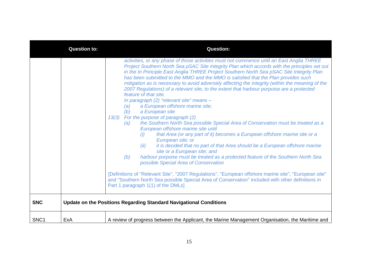|                  | <b>Question to:</b> | <b>Question:</b>                                                                                                                                                                                                                                                                                                                                                                                                                                                                                                                                                                                                                                                                                                                                                                                                                                                                                                                                                                                                                                                                                                                                                                                                                                                                                                                                                                                                                                                                                                                    |
|------------------|---------------------|-------------------------------------------------------------------------------------------------------------------------------------------------------------------------------------------------------------------------------------------------------------------------------------------------------------------------------------------------------------------------------------------------------------------------------------------------------------------------------------------------------------------------------------------------------------------------------------------------------------------------------------------------------------------------------------------------------------------------------------------------------------------------------------------------------------------------------------------------------------------------------------------------------------------------------------------------------------------------------------------------------------------------------------------------------------------------------------------------------------------------------------------------------------------------------------------------------------------------------------------------------------------------------------------------------------------------------------------------------------------------------------------------------------------------------------------------------------------------------------------------------------------------------------|
|                  |                     | activities, or any phase of those activities must not commence until an East Anglia THREE<br>Project Southern North Sea pSAC Site Integrity Plan which accords with the principles set out<br>in the In Principle East Anglia THREE Project Southern North Sea pSAC Site Integrity Plan<br>has been submitted to the MMO and the MMO is satisfied that the Plan provides such<br>mitigation as is necessary to avoid adversely affecting the integrity (within the meaning of the<br>2007 Regulations) of a relevant site, to the extent that harbour porpoise are a protected<br>feature of that site.<br>In paragraph (2) "relevant site" means -<br>a European offshore marine site;<br>(a)<br>(b)<br>a European site<br>For the purpose of paragraph (2)<br>13(3)<br>the Southern North Sea possible Special Area of Conservation must be treated as a<br>(a)<br>European offshore marine site until<br>that Area (or any part of it) becomes a European offshore marine site or a<br>(i)<br>European site; or<br>it is decided that no part of that Area should be a European offshore marine<br>(ii)<br>site or a European site; and<br>harbour porpoise must be treated as a protected feature of the Southern North Sea<br>(b)<br>possible Special Area of Conservation<br>[Definitions of "Relevant Site", "2007 Regulations", "European offshore marine site", "European site"<br>and "Southern North Sea possible Special Area of Conservation" included with other definitions in<br>Part 1 paragraph 1(1) of the DMLs] |
| <b>SNC</b>       |                     | Update on the Positions Regarding Standard Navigational Conditions                                                                                                                                                                                                                                                                                                                                                                                                                                                                                                                                                                                                                                                                                                                                                                                                                                                                                                                                                                                                                                                                                                                                                                                                                                                                                                                                                                                                                                                                  |
| SNC <sub>1</sub> | ExA                 | A review of progress between the Applicant, the Marine Management Organisation, the Maritime and                                                                                                                                                                                                                                                                                                                                                                                                                                                                                                                                                                                                                                                                                                                                                                                                                                                                                                                                                                                                                                                                                                                                                                                                                                                                                                                                                                                                                                    |